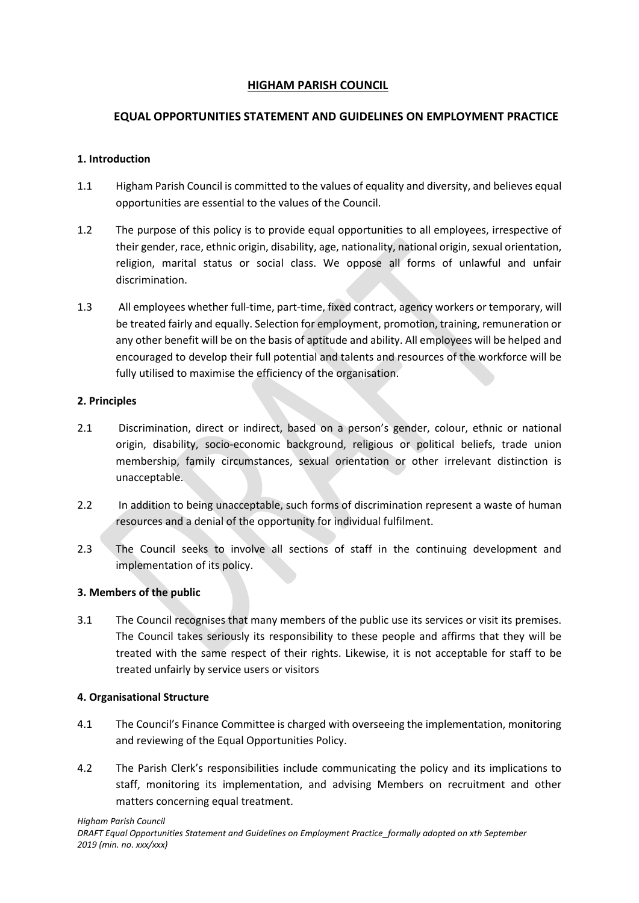# **HIGHAM PARISH COUNCIL**

# **EQUAL OPPORTUNITIES STATEMENT AND GUIDELINES ON EMPLOYMENT PRACTICE**

## **1. Introduction**

- 1.1 Higham Parish Council is committed to the values of equality and diversity, and believes equal opportunities are essential to the values of the Council.
- 1.2 The purpose of this policy is to provide equal opportunities to all employees, irrespective of their gender, race, ethnic origin, disability, age, nationality, national origin, sexual orientation, religion, marital status or social class. We oppose all forms of unlawful and unfair discrimination.
- 1.3 All employees whether full-time, part-time, fixed contract, agency workers or temporary, will be treated fairly and equally. Selection for employment, promotion, training, remuneration or any other benefit will be on the basis of aptitude and ability. All employees will be helped and encouraged to develop their full potential and talents and resources of the workforce will be fully utilised to maximise the efficiency of the organisation.

## **2. Principles**

- 2.1 Discrimination, direct or indirect, based on a person's gender, colour, ethnic or national origin, disability, socio-economic background, religious or political beliefs, trade union membership, family circumstances, sexual orientation or other irrelevant distinction is unacceptable.
- 2.2 In addition to being unacceptable, such forms of discrimination represent a waste of human resources and a denial of the opportunity for individual fulfilment.
- 2.3 The Council seeks to involve all sections of staff in the continuing development and implementation of its policy.

## **3. Members of the public**

3.1 The Council recognises that many members of the public use its services or visit its premises. The Council takes seriously its responsibility to these people and affirms that they will be treated with the same respect of their rights. Likewise, it is not acceptable for staff to be treated unfairly by service users or visitors

## **4. Organisational Structure**

- 4.1 The Council's Finance Committee is charged with overseeing the implementation, monitoring and reviewing of the Equal Opportunities Policy.
- 4.2 The Parish Clerk's responsibilities include communicating the policy and its implications to staff, monitoring its implementation, and advising Members on recruitment and other matters concerning equal treatment.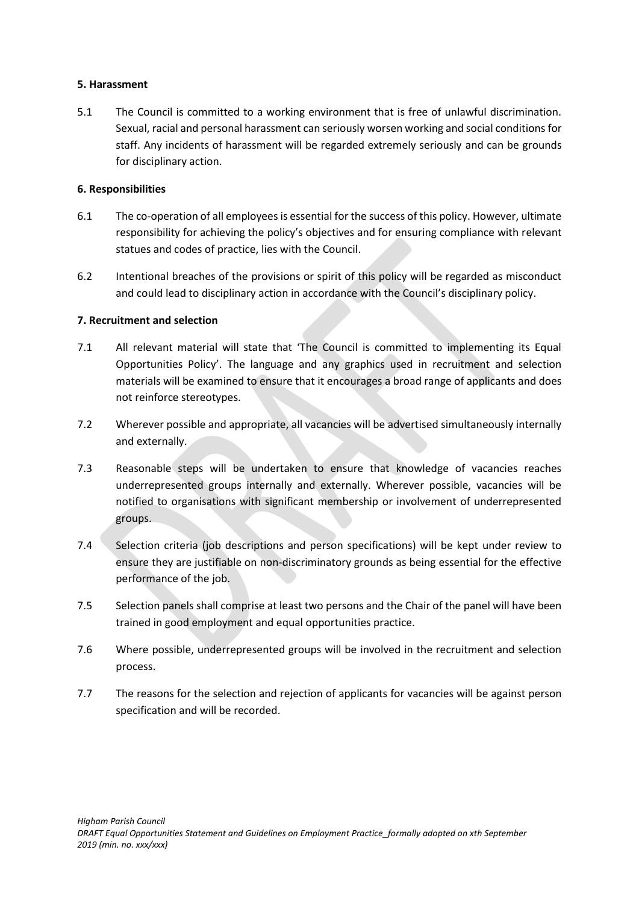#### **5. Harassment**

5.1 The Council is committed to a working environment that is free of unlawful discrimination. Sexual, racial and personal harassment can seriously worsen working and social conditions for staff. Any incidents of harassment will be regarded extremely seriously and can be grounds for disciplinary action.

### **6. Responsibilities**

- 6.1 The co-operation of all employees is essential for the success of this policy. However, ultimate responsibility for achieving the policy's objectives and for ensuring compliance with relevant statues and codes of practice, lies with the Council.
- 6.2 Intentional breaches of the provisions or spirit of this policy will be regarded as misconduct and could lead to disciplinary action in accordance with the Council's disciplinary policy.

### **7. Recruitment and selection**

- 7.1 All relevant material will state that 'The Council is committed to implementing its Equal Opportunities Policy'. The language and any graphics used in recruitment and selection materials will be examined to ensure that it encourages a broad range of applicants and does not reinforce stereotypes.
- 7.2 Wherever possible and appropriate, all vacancies will be advertised simultaneously internally and externally.
- 7.3 Reasonable steps will be undertaken to ensure that knowledge of vacancies reaches underrepresented groups internally and externally. Wherever possible, vacancies will be notified to organisations with significant membership or involvement of underrepresented groups.
- 7.4 Selection criteria (job descriptions and person specifications) will be kept under review to ensure they are justifiable on non-discriminatory grounds as being essential for the effective performance of the job.
- 7.5 Selection panels shall comprise at least two persons and the Chair of the panel will have been trained in good employment and equal opportunities practice.
- 7.6 Where possible, underrepresented groups will be involved in the recruitment and selection process.
- 7.7 The reasons for the selection and rejection of applicants for vacancies will be against person specification and will be recorded.